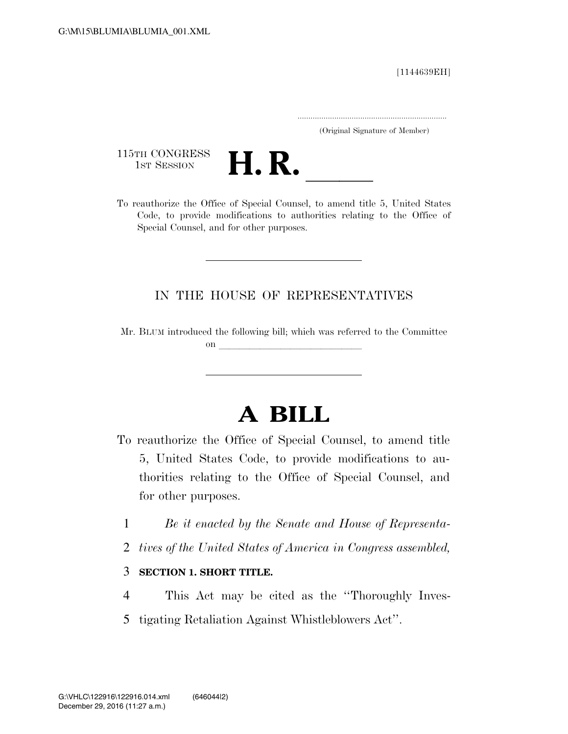[1144639EH]

.....................................................................

(Original Signature of Member)

115TH CONGRESS<br>1st Session



115TH CONGRESS<br>
1st SESSION<br>
To reauthorize the Office of Special Counsel, to amend title 5, United States Code, to provide modifications to authorities relating to the Office of Special Counsel, and for other purposes.

# IN THE HOUSE OF REPRESENTATIVES

Mr. BLUM introduced the following bill; which was referred to the Committee on  $\overline{\qquad \qquad }$ 

# **A BILL**

- To reauthorize the Office of Special Counsel, to amend title 5, United States Code, to provide modifications to authorities relating to the Office of Special Counsel, and for other purposes.
	- 1 *Be it enacted by the Senate and House of Representa-*
	- 2 *tives of the United States of America in Congress assembled,*
	- 3 **SECTION 1. SHORT TITLE.**
	- 4 This Act may be cited as the ''Thoroughly Inves-
	- 5 tigating Retaliation Against Whistleblowers Act''.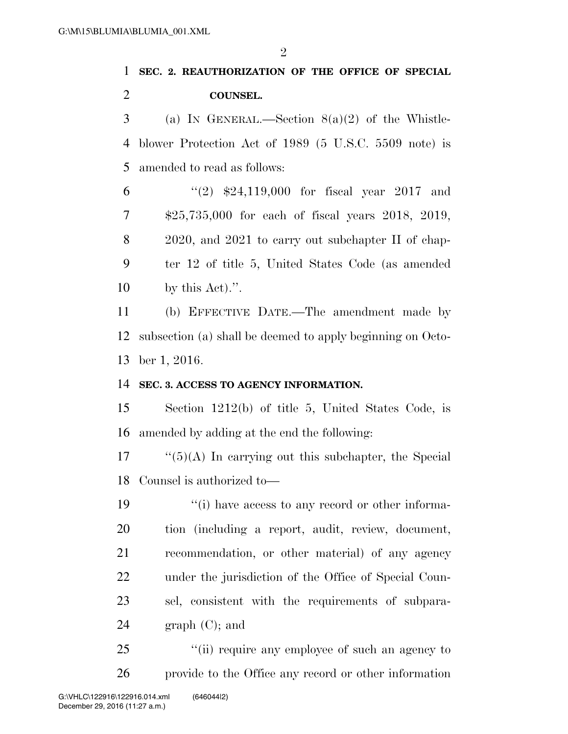$\mathfrak{D}$ 

# **SEC. 2. REAUTHORIZATION OF THE OFFICE OF SPECIAL COUNSEL.**

3 (a) IN GENERAL.—Section  $8(a)(2)$  of the Whistle- blower Protection Act of 1989 (5 U.S.C. 5509 note) is amended to read as follows:

 ''(2) \$24,119,000 for fiscal year 2017 and \$25,735,000 for each of fiscal years 2018, 2019, 2020, and 2021 to carry out subchapter II of chap- ter 12 of title 5, United States Code (as amended by this Act).''.

 (b) EFFECTIVE DATE.—The amendment made by subsection (a) shall be deemed to apply beginning on Octo-ber 1, 2016.

# **SEC. 3. ACCESS TO AGENCY INFORMATION.**

 Section 1212(b) of title 5, United States Code, is amended by adding at the end the following:

 "(5)(A) In carrying out this subchapter, the Special Counsel is authorized to—

 $\frac{1}{2}$  (i) have access to any record or other informa- tion (including a report, audit, review, document, recommendation, or other material) of any agency under the jurisdiction of the Office of Special Coun- sel, consistent with the requirements of subpara- $24 \quad \text{graph } (C);$  and

25 "(ii) require any employee of such an agency to provide to the Office any record or other information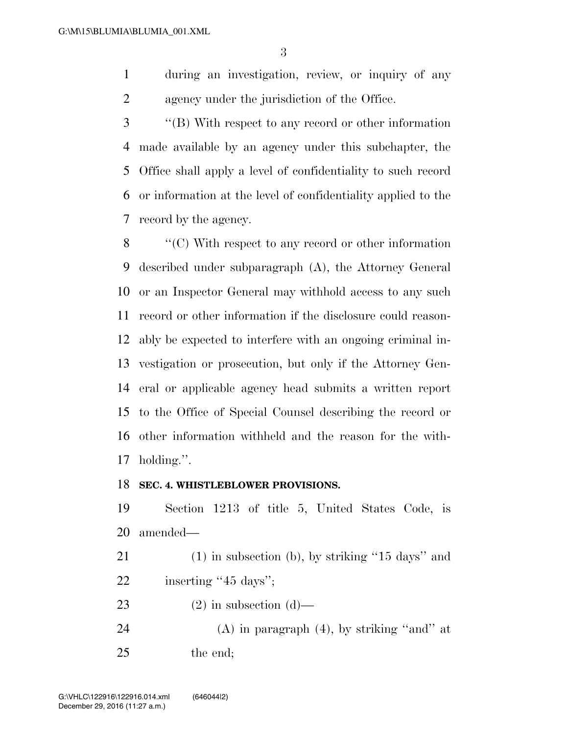during an investigation, review, or inquiry of any agency under the jurisdiction of the Office.

 ''(B) With respect to any record or other information made available by an agency under this subchapter, the Office shall apply a level of confidentiality to such record or information at the level of confidentiality applied to the record by the agency.

 ''(C) With respect to any record or other information described under subparagraph (A), the Attorney General or an Inspector General may withhold access to any such record or other information if the disclosure could reason- ably be expected to interfere with an ongoing criminal in- vestigation or prosecution, but only if the Attorney Gen- eral or applicable agency head submits a written report to the Office of Special Counsel describing the record or other information withheld and the reason for the with-holding.''.

#### **SEC. 4. WHISTLEBLOWER PROVISIONS.**

 Section 1213 of title 5, United States Code, is amended—

- (1) in subsection (b), by striking ''15 days'' and 22 inserting "45 days";
- 23 (2) in subsection  $(d)$ —
- 24  $(A)$  in paragraph  $(4)$ , by striking "and" at the end;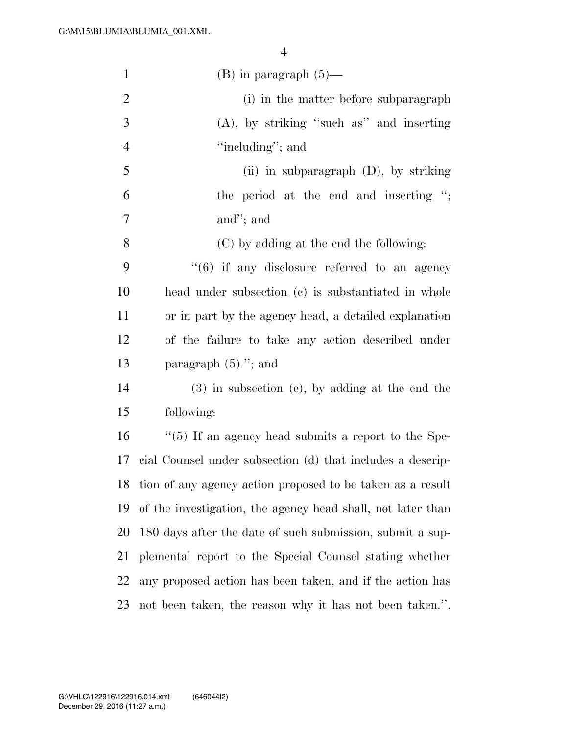| $\mathbf{1}$   | $(B)$ in paragraph $(5)$ —                                  |
|----------------|-------------------------------------------------------------|
| $\overline{2}$ | (i) in the matter before subparagraph                       |
| 3              | $(A)$ , by striking "such as" and inserting                 |
| $\overline{4}$ | "including"; and                                            |
| 5              | (ii) in subparagraph $(D)$ , by striking                    |
| 6              | the period at the end and inserting ";                      |
| 7              | and"; and                                                   |
| 8              | (C) by adding at the end the following:                     |
| 9              | $``(6)$ if any disclosure referred to an agency             |
| 10             | head under subsection (c) is substantiated in whole         |
| 11             | or in part by the agency head, a detailed explanation       |
| 12             | of the failure to take any action described under           |
| 13             | paragraph $(5)$ ."; and                                     |
| 14             | $(3)$ in subsection (e), by adding at the end the           |
| 15             | following:                                                  |
| 16             | $\lq(5)$ If an agency head submits a report to the Spe-     |
| 17             | cial Counsel under subsection (d) that includes a descrip-  |
| 18             | tion of any agency action proposed to be taken as a result  |
| 19             | of the investigation, the agency head shall, not later than |
| 20             | 180 days after the date of such submission, submit a sup-   |
| 21             | plemental report to the Special Counsel stating whether     |
| 22             | any proposed action has been taken, and if the action has   |
| 23             | not been taken, the reason why it has not been taken.".     |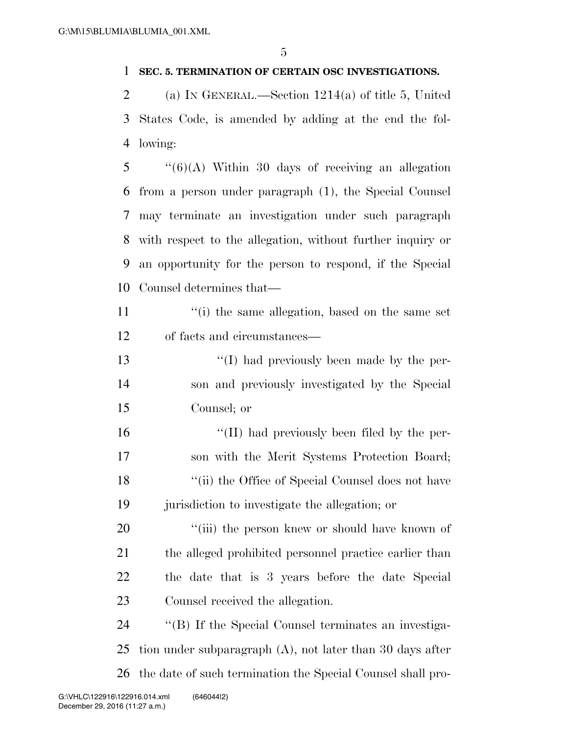#### **SEC. 5. TERMINATION OF CERTAIN OSC INVESTIGATIONS.**

 (a) IN GENERAL.—Section 1214(a) of title 5, United States Code, is amended by adding at the end the fol-lowing:

 "(6)(A) Within 30 days of receiving an allegation from a person under paragraph (1), the Special Counsel may terminate an investigation under such paragraph with respect to the allegation, without further inquiry or an opportunity for the person to respond, if the Special Counsel determines that—

11 ''(i) the same allegation, based on the same set of facts and circumstances—

 ''(I) had previously been made by the per- son and previously investigated by the Special Counsel; or

 ''(II) had previously been filed by the per- son with the Merit Systems Protection Board; 18 ''(ii) the Office of Special Counsel does not have jurisdiction to investigate the allegation; or

 $\frac{1}{20}$  (iii) the person knew or should have known of the alleged prohibited personnel practice earlier than the date that is 3 years before the date Special Counsel received the allegation.

24  $\langle$  (B) If the Special Counsel terminates an investiga- tion under subparagraph (A), not later than 30 days after the date of such termination the Special Counsel shall pro-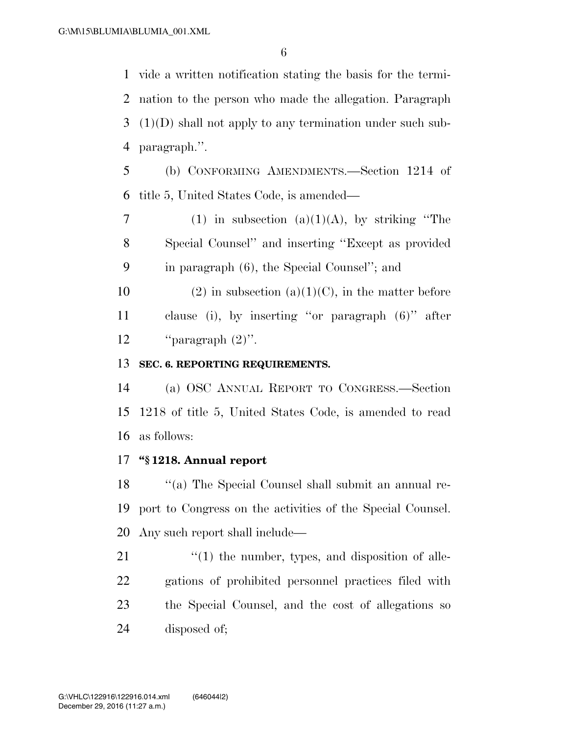vide a written notification stating the basis for the termi- nation to the person who made the allegation. Paragraph (1)(D) shall not apply to any termination under such sub-paragraph.''.

 (b) CONFORMING AMENDMENTS.—Section 1214 of title 5, United States Code, is amended—

7 (1) in subsection (a)(1)(A), by striking "The Special Counsel'' and inserting ''Except as provided in paragraph (6), the Special Counsel''; and

10 (2) in subsection (a)(1)(C), in the matter before clause (i), by inserting ''or paragraph (6)'' after 12  $"parallel (2)$ ".

# **SEC. 6. REPORTING REQUIREMENTS.**

 (a) OSC ANNUAL REPORT TO CONGRESS.—Section 1218 of title 5, United States Code, is amended to read as follows:

## **''§ 1218. Annual report**

18 ''(a) The Special Counsel shall submit an annual re- port to Congress on the activities of the Special Counsel. Any such report shall include—

  $\qquad$   $\qquad$   $\qquad$   $\qquad$   $\qquad$   $\qquad$   $\qquad$   $\qquad$   $\qquad$   $\qquad$   $\qquad$   $\qquad$   $\qquad$   $\qquad$   $\qquad$   $\qquad$   $\qquad$   $\qquad$   $\qquad$   $\qquad$   $\qquad$   $\qquad$   $\qquad$   $\qquad$   $\qquad$   $\qquad$   $\qquad$   $\qquad$   $\qquad$   $\qquad$   $\qquad$   $\qquad$   $\qquad$   $\qquad$   $\qquad$   $\qquad$  gations of prohibited personnel practices filed with the Special Counsel, and the cost of allegations so disposed of;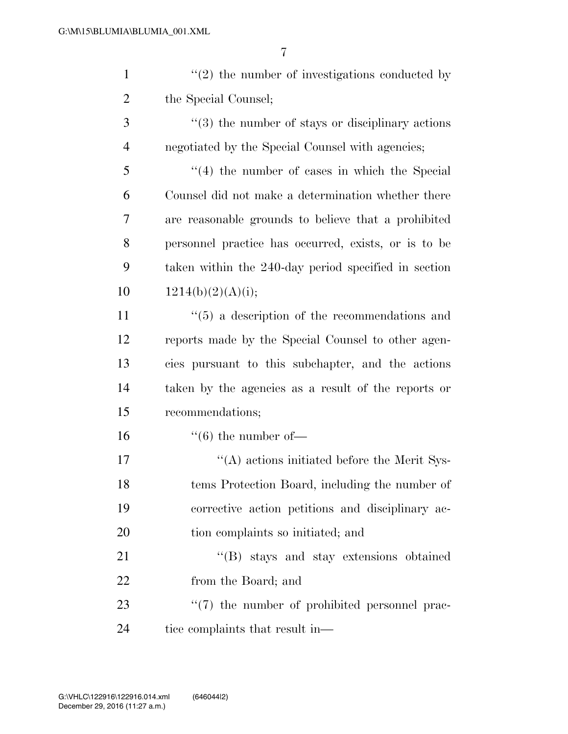| $\mathbf{1}$   | $\lq(2)$ the number of investigations conducted by        |
|----------------|-----------------------------------------------------------|
| $\overline{c}$ | the Special Counsel;                                      |
| 3              | $"$ (3) the number of stays or disciplinary actions       |
| $\overline{4}$ | negotiated by the Special Counsel with agencies;          |
| 5              | $(4)$ the number of cases in which the Special            |
| 6              | Counsel did not make a determination whether there        |
| 7              | are reasonable grounds to believe that a prohibited       |
| 8              | personnel practice has occurred, exists, or is to be      |
| 9              | taken within the 240-day period specified in section      |
| 10             | 1214(b)(2)(A)(i);                                         |
| 11             | $\cdot\cdot$ (5) a description of the recommendations and |
| 12             | reports made by the Special Counsel to other agen-        |
| 13             | cies pursuant to this subchapter, and the actions         |
| 14             | taken by the agencies as a result of the reports or       |
| 15             | recommendations;                                          |
| 16             | $\lq\lq (6)$ the number of —                              |
| 17             | "(A) actions initiated before the Merit Sys-              |
| 18             | tems Protection Board, including the number of            |
| 19             | corrective action petitions and disciplinary ac-          |
| 20             | tion complaints so initiated; and                         |
| 21             | "(B) stays and stay extensions obtained                   |
| 22             | from the Board; and                                       |
| 23             | $\lq(7)$ the number of prohibited personnel prac-         |
| 24             | tice complaints that result in—                           |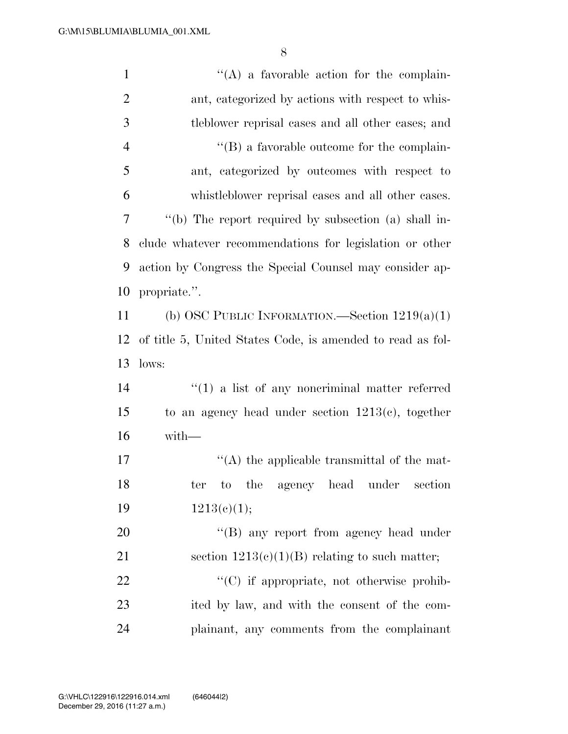| $\mathbf{1}$   | $\lq\lq$ a favorable action for the complain-              |
|----------------|------------------------------------------------------------|
| $\mathfrak{2}$ | ant, categorized by actions with respect to whis-          |
| 3              | tleblower reprisal cases and all other cases; and          |
| $\overline{4}$ | $\lq\lq (B)$ a favorable outcome for the complain-         |
| 5              | ant, categorized by outcomes with respect to               |
| 6              | whistleblower reprisal cases and all other cases.          |
| $\tau$         | "(b) The report required by subsection (a) shall in-       |
| 8              | clude whatever recommendations for legislation or other    |
| 9              | action by Congress the Special Counsel may consider ap-    |
| 10             | propriate.".                                               |
| 11             | (b) OSC PUBLIC INFORMATION.—Section $1219(a)(1)$           |
| 12             | of title 5, United States Code, is amended to read as fol- |
| 13             | lows:                                                      |
| 14             | $\lq(1)$ a list of any noneriminal matter referred         |
| 15             | to an agency head under section $1213(c)$ , together       |
| 16             | $with-$                                                    |
| 17             | $\lq\lq$ the applicable transmittal of the mat-            |
| 18             | ter to the agency head under<br>section                    |
| 19             | 1213(e)(1);                                                |
| 20             | "(B) any report from agency head under                     |
| 21             | section $1213(c)(1)(B)$ relating to such matter;           |
| 22             | "(C) if appropriate, not otherwise prohib-                 |
| 23             | ited by law, and with the consent of the com-              |
| 24             | plainant, any comments from the complainant                |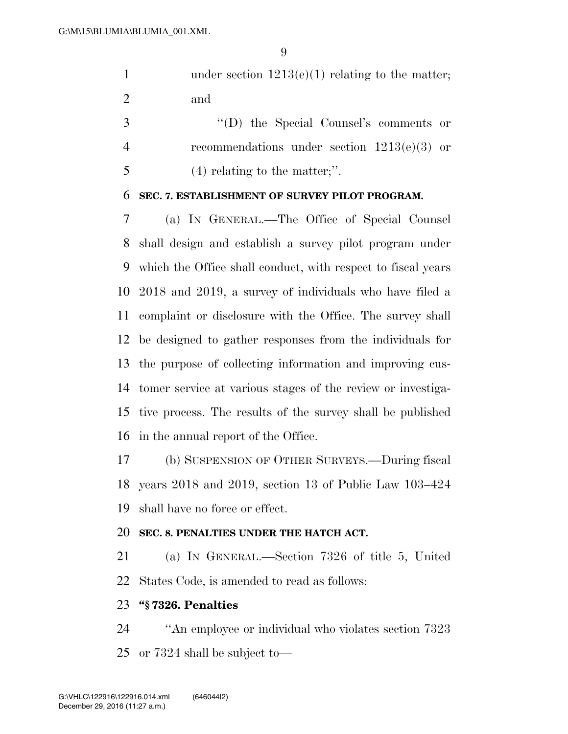1 under section  $1213(e)(1)$  relating to the matter; and

 ''(D) the Special Counsel's comments or recommendations under section 1213(e)(3) or (4) relating to the matter;''.

#### **SEC. 7. ESTABLISHMENT OF SURVEY PILOT PROGRAM.**

 (a) IN GENERAL.—The Office of Special Counsel shall design and establish a survey pilot program under which the Office shall conduct, with respect to fiscal years 2018 and 2019, a survey of individuals who have filed a complaint or disclosure with the Office. The survey shall be designed to gather responses from the individuals for the purpose of collecting information and improving cus- tomer service at various stages of the review or investiga- tive process. The results of the survey shall be published in the annual report of the Office.

 (b) SUSPENSION OF OTHER SURVEYS.—During fiscal years 2018 and 2019, section 13 of Public Law 103–424 shall have no force or effect.

#### **SEC. 8. PENALTIES UNDER THE HATCH ACT.**

 (a) IN GENERAL.—Section 7326 of title 5, United States Code, is amended to read as follows:

### **''§ 7326. Penalties**

 ''An employee or individual who violates section 7323 or 7324 shall be subject to—